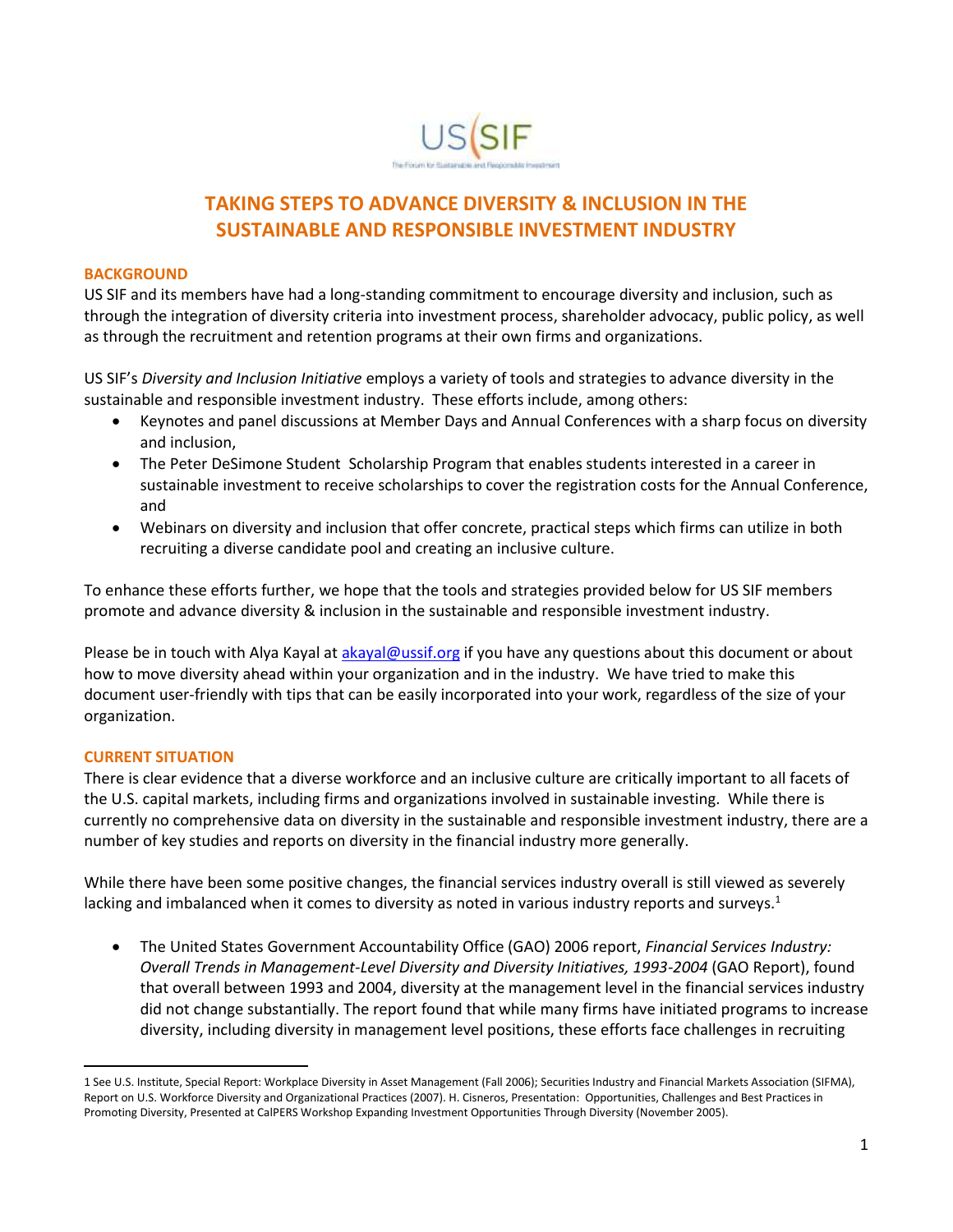

## **TAKING STEPS TO ADVANCE DIVERSITY & INCLUSION IN THE SUSTAINABLE AND RESPONSIBLE INVESTMENT INDUSTRY**

## **BACKGROUND**

US SIF and its members have had a long-standing commitment to encourage diversity and inclusion, such as through the integration of diversity criteria into investment process, shareholder advocacy, public policy, as well as through the recruitment and retention programs at their own firms and organizations.

US SIF's *Diversity and Inclusion Initiative* employs a variety of tools and strategies to advance diversity in the sustainable and responsible investment industry. These efforts include, among others:

- Keynotes and panel discussions at Member Days and Annual Conferences with a sharp focus on diversity and inclusion,
- The Peter DeSimone Student Scholarship Program that enables students interested in a career in sustainable investment to receive scholarships to cover the registration costs for the Annual Conference, and
- Webinars on diversity and inclusion that offer concrete, practical steps which firms can utilize in both recruiting a diverse candidate pool and creating an inclusive culture.

To enhance these efforts further, we hope that the tools and strategies provided below for US SIF members promote and advance diversity & inclusion in the sustainable and responsible investment industry.

Please be in touch with Alya Kayal a[t akayal@ussif.org](mailto:akayal@ussif.org) if you have any questions about this document or about how to move diversity ahead within your organization and in the industry. We have tried to make this document user-friendly with tips that can be easily incorporated into your work, regardless of the size of your organization.

## **CURRENT SITUATION**

 $\overline{a}$ 

There is clear evidence that a diverse workforce and an inclusive culture are critically important to all facets of the U.S. capital markets, including firms and organizations involved in sustainable investing. While there is currently no comprehensive data on diversity in the sustainable and responsible investment industry, there are a number of key studies and reports on diversity in the financial industry more generally.

While there have been some positive changes, the financial services industry overall is still viewed as severely lacking and imbalanced when it comes to diversity as noted in various industry reports and surveys.<sup>1</sup>

 The United States Government Accountability Office (GAO) 2006 report, *Financial Services Industry: Overall Trends in Management-Level Diversity and Diversity Initiatives, 1993-2004* (GAO Report), found that overall between 1993 and 2004, diversity at the management level in the financial services industry did not change substantially. The report found that while many firms have initiated programs to increase diversity, including diversity in management level positions, these efforts face challenges in recruiting

<sup>1</sup> See U.S. Institute, Special Report: Workplace Diversity in Asset Management (Fall 2006); Securities Industry and Financial Markets Association (SIFMA), Report on U.S. Workforce Diversity and Organizational Practices (2007). H. Cisneros, Presentation: Opportunities, Challenges and Best Practices in Promoting Diversity, Presented at CalPERS Workshop Expanding Investment Opportunities Through Diversity (November 2005).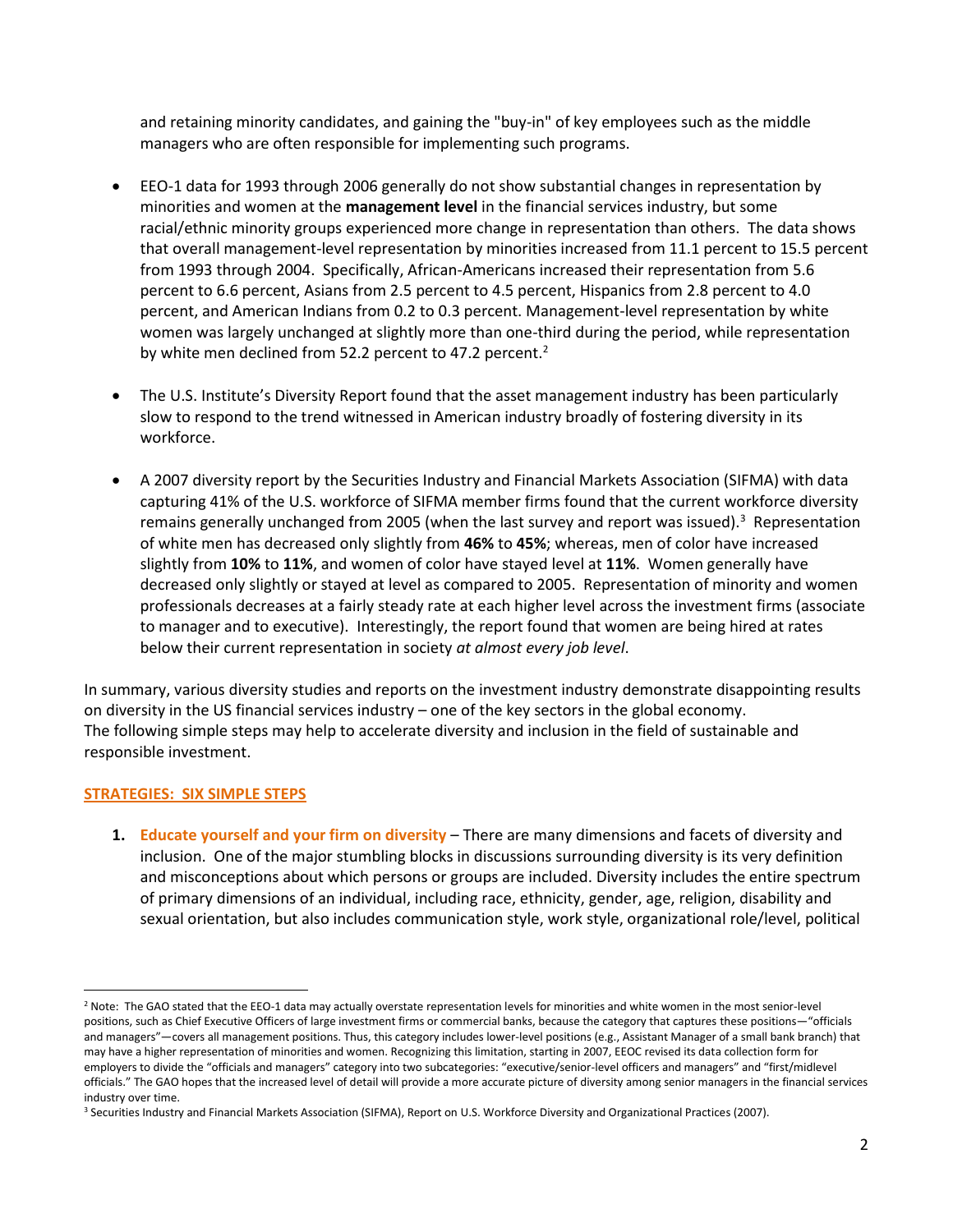and retaining minority candidates, and gaining the "buy-in" of key employees such as the middle managers who are often responsible for implementing such programs.

- EEO-1 data for 1993 through 2006 generally do not show substantial changes in representation by minorities and women at the **management level** in the financial services industry, but some racial/ethnic minority groups experienced more change in representation than others. The data shows that overall management-level representation by minorities increased from 11.1 percent to 15.5 percent from 1993 through 2004. Specifically, African-Americans increased their representation from 5.6 percent to 6.6 percent, Asians from 2.5 percent to 4.5 percent, Hispanics from 2.8 percent to 4.0 percent, and American Indians from 0.2 to 0.3 percent. Management-level representation by white women was largely unchanged at slightly more than one-third during the period, while representation by white men declined from 52.2 percent to 47.2 percent.<sup>2</sup>
- The U.S. Institute's Diversity Report found that the asset management industry has been particularly slow to respond to the trend witnessed in American industry broadly of fostering diversity in its workforce.
- A 2007 diversity report by the Securities Industry and Financial Markets Association (SIFMA) with data capturing 41% of the U.S. workforce of SIFMA member firms found that the current workforce diversity remains generally unchanged from 2005 (when the last survey and report was issued).<sup>3</sup> Representation of white men has decreased only slightly from **46%** to **45%**; whereas, men of color have increased slightly from **10%** to **11%**, and women of color have stayed level at **11%**. Women generally have decreased only slightly or stayed at level as compared to 2005. Representation of minority and women professionals decreases at a fairly steady rate at each higher level across the investment firms (associate to manager and to executive). Interestingly, the report found that women are being hired at rates below their current representation in society *at almost every job level*.

In summary, various diversity studies and reports on the investment industry demonstrate disappointing results on diversity in the US financial services industry – one of the key sectors in the global economy. The following simple steps may help to accelerate diversity and inclusion in the field of sustainable and responsible investment.

## **STRATEGIES: SIX SIMPLE STEPS**

**1. Educate yourself and your firm on diversity** – There are many dimensions and facets of diversity and inclusion. One of the major stumbling blocks in discussions surrounding diversity is its very definition and misconceptions about which persons or groups are included. Diversity includes the entire spectrum of primary dimensions of an individual, including race, ethnicity, gender, age, religion, disability and sexual orientation, but also includes communication style, work style, organizational role/level, political

 $\overline{\phantom{a}}$ <sup>2</sup> Note: The GAO stated that the EEO-1 data may actually overstate representation levels for minorities and white women in the most senior-level positions, such as Chief Executive Officers of large investment firms or commercial banks, because the category that captures these positions—"officials and managers"—covers all management positions. Thus, this category includes lower-level positions (e.g., Assistant Manager of a small bank branch) that may have a higher representation of minorities and women. Recognizing this limitation, starting in 2007, EEOC revised its data collection form for employers to divide the "officials and managers" category into two subcategories: "executive/senior-level officers and managers" and "first/midlevel officials." The GAO hopes that the increased level of detail will provide a more accurate picture of diversity among senior managers in the financial services industry over time.

<sup>3</sup> Securities Industry and Financial Markets Association (SIFMA), Report on U.S. Workforce Diversity and Organizational Practices (2007).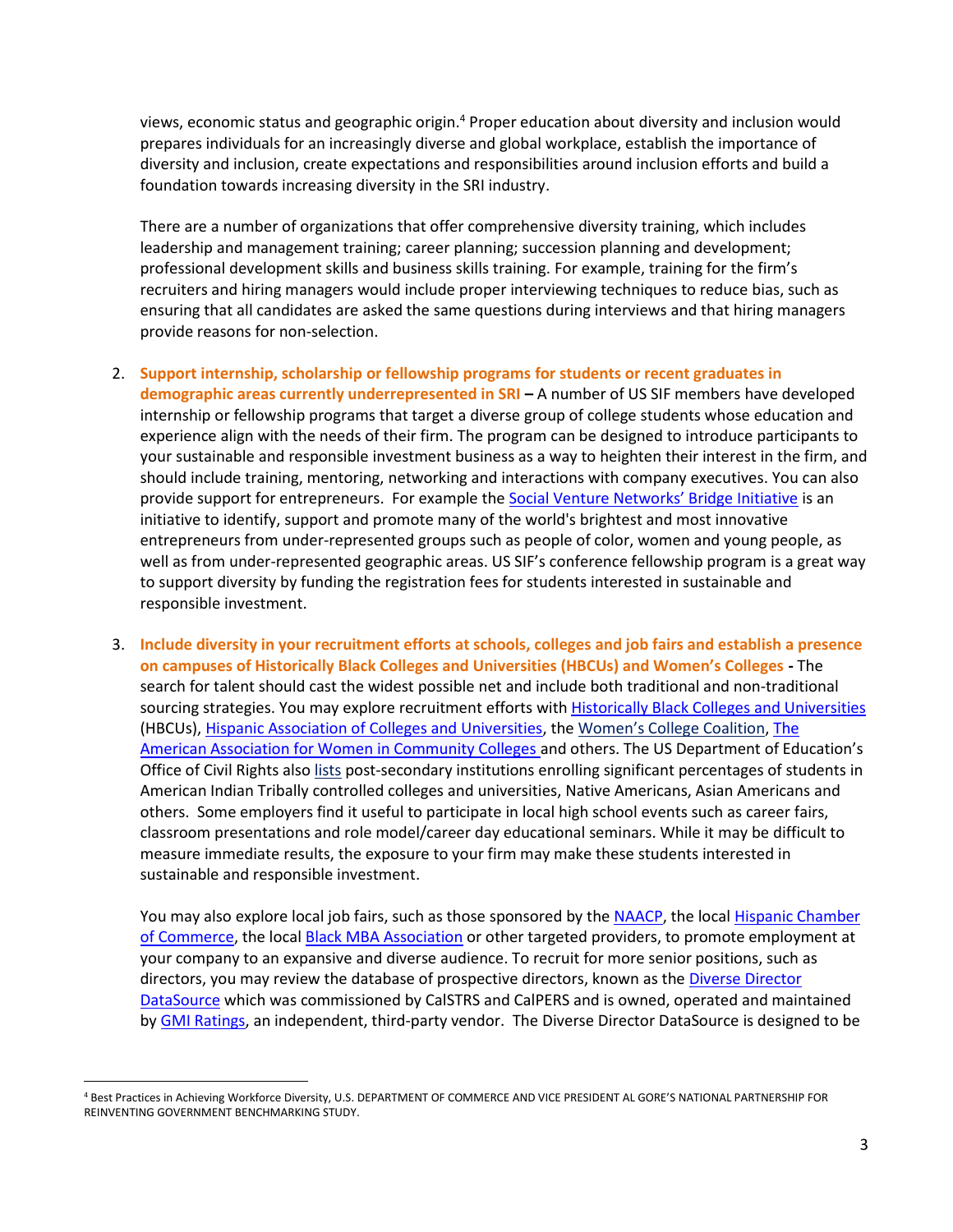views, economic status and geographic origin.<sup>4</sup> Proper education about diversity and inclusion would prepares individuals for an increasingly diverse and global workplace, establish the importance of diversity and inclusion, create expectations and responsibilities around inclusion efforts and build a foundation towards increasing diversity in the SRI industry.

There are a number of organizations that offer comprehensive diversity training, which includes leadership and management training; career planning; succession planning and development; professional development skills and business skills training. For example, training for the firm's recruiters and hiring managers would include proper interviewing techniques to reduce bias, such as ensuring that all candidates are asked the same questions during interviews and that hiring managers provide reasons for non-selection.

- 2. **Support internship, scholarship or fellowship programs for students or recent graduates in demographic areas currently underrepresented in SRI –** A number of US SIF members have developed internship or fellowship programs that target a diverse group of college students whose education and experience align with the needs of their firm. The program can be designed to introduce participants to your sustainable and responsible investment business as a way to heighten their interest in the firm, and should include training, mentoring, networking and interactions with company executives. You can also provide support for entrepreneurs. For example the [Social Venture Networks' Bridge Initiative](http://svn.org/who-we-are/next-generation-leaders) is an initiative to identify, support and promote many of the world's brightest and most innovative entrepreneurs from under-represented groups such as people of color, women and young people, as well as from under-represented geographic areas. US SIF's conference fellowship program is a great way to support diversity by funding the registration fees for students interested in sustainable and responsible investment.
- 3. **Include diversity in your recruitment efforts at schools, colleges and job fairs and establish a presence on campuses of Historically Black Colleges and Universities (HBCUs) and Women's Colleges -** The search for talent should cast the widest possible net and include both traditional and non-traditional sourcing strategies. You may explore recruitment efforts with [Historically Black Colleges and Universities](http://www.ed.gov/edblogs/whhbcu/about-us/) (HBCUs), [Hispanic Association of Colleges and Universities,](http://www.hacu.net/hacu/HACU_101.asp) the [Women's College Coalition](http://www.womenscolleges.org/), [The](http://www.aawccnatl.org/)  [American Association for Women in Community Colleges](http://www.aawccnatl.org/) and others. The US Department of Education's Office of Civil Rights also [lists](http://www2.ed.gov/about/offices/list/ocr/edlite-minorityinst.html) post-secondary institutions enrolling significant percentages of students in American Indian Tribally controlled colleges and universities, Native Americans, Asian Americans and others. Some employers find it useful to participate in local high school events such as career fairs, classroom presentations and role model/career day educational seminars. While it may be difficult to measure immediate results, the exposure to your firm may make these students interested in sustainable and responsible investment.

You may also explore local job fairs, such as those sponsored by th[e NAACP,](http://www.naacp.org/) the local Hispanic Chamber [of Commerce,](http://ushcc.com/) the local [Black MBA Association](https://www.nbmbaa.org/) or other targeted providers, to promote employment at your company to an expansive and diverse audience. To recruit for more senior positions, such as directors, you may review the database of prospective directors, known as the [Diverse Director](http://www.gmi3d.com/)  [DataSource](http://www.gmi3d.com/) which was commissioned by CalSTRS and CalPERS and is owned, operated and maintained by [GMI Ratings,](http://www3.gmiratings.com/) an independent, third-party vendor. The Diverse Director DataSource is designed to be

 $\overline{a}$ <sup>4</sup> Best Practices in Achieving Workforce Diversity, U.S. DEPARTMENT OF COMMERCE AND VICE PRESIDENT AL GORE'S NATIONAL PARTNERSHIP FOR REINVENTING GOVERNMENT BENCHMARKING STUDY.